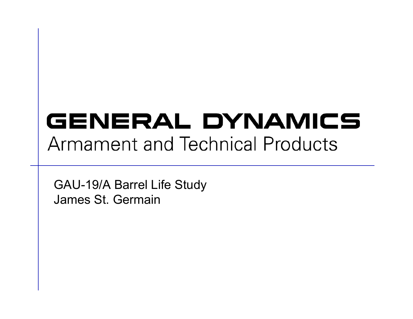# GENERAL DYNAMICS **Armament and Technical Products**

GAU-19/A Barrel Life Study James St. Germain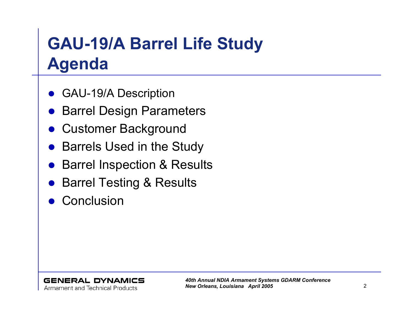## **GAU-19/A Barrel Life Study Agenda**

- $\bullet$ GAU-19/A Description
- $\bullet$ Barrel Design Parameters
- $\bullet$ Customer Background
- Barrels Used in the Study
- $\bullet$ Barrel Inspection & Results
- $\bullet$ Barrel Testing & Results
- $\bullet$ **Conclusion**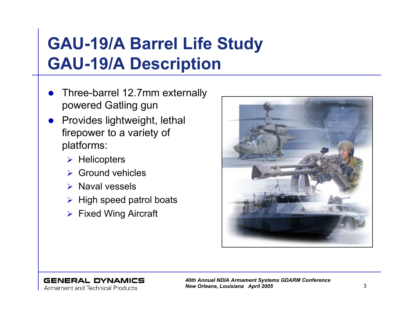#### **GAU-19/A Barrel Life Study GAU-19/A Description**

- $\bullet$  Three-barrel 12.7mm externally powered Gatling gun
- $\bullet$  Provides lightweight, lethal firepower to a variety of platforms:
	- $\triangleright$  Helicopters
	- $\triangleright$  Ground vehicles
	- ¾ Naval vessels
	- $\triangleright$  High speed patrol boats
	- $\triangleright$  Fixed Wing Aircraft



#### **GENERAL DYNAMICS**

Armament and Technical Products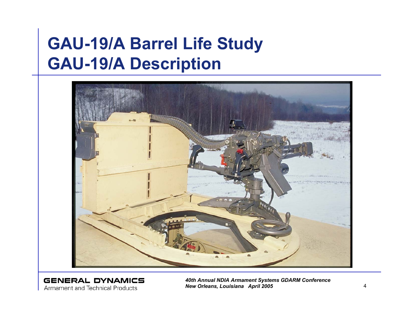#### **GAU-19/A Barrel Life Study GAU-19/A Description**



**GENERAL DYNAMICS Armament and Technical Products**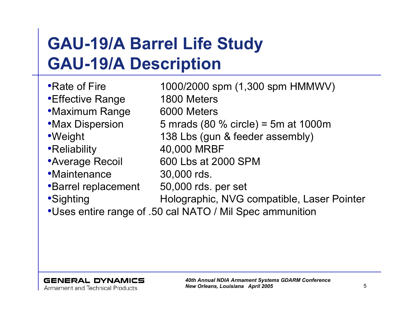### **GAU-19/A Barrel Life Study GAU-19/A Description**

•Rate of Fire 1000/2000 spm (1,300 spm HMMWV) •Effective Range 1800 Meters •Maximum Range 6000 Meters •Max Dispersion 5 mrads (80 % circle) = 5m at 1000m •Weight 138 Lbs (gun & feeder assembly) •Reliability 40,000 MRBF •Average Recoil 600 Lbs at 2000 SPM •Maintenance 30,000 rds. •Barrel replacement 50,000 rds. per set •Sighting **Holographic, NVG compatible, Laser Pointer** •Uses entire range of .50 cal NATO / Mil Spec ammunition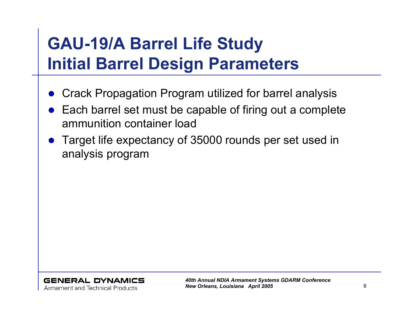## **GAU-19/A Barrel Life Study Initial Barrel Design Parameters**

- $\bullet$ Crack Propagation Program utilized for barrel analysis
- $\bullet$  Each barrel set must be capable of firing out a complete ammunition container load
- $\bullet$  Target life expectancy of 35000 rounds per set used in analysis program

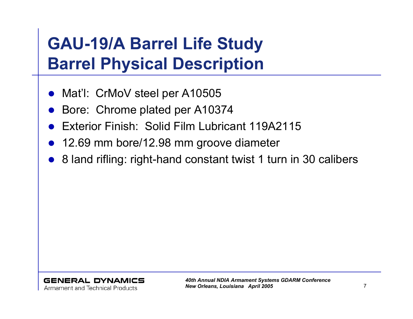### **GAU-19/A Barrel Life Study Barrel Physical Description**

- $\bullet$ Mat'l: CrMoV steel per A10505
- $\bullet$ Bore: Chrome plated per A10374
- $\bullet$ Exterior Finish: Solid Film Lubricant 119A2115
- $\bullet$ 12.69 mm bore/12.98 mm groove diameter
- $\bullet$ 8 land rifling: right-hand constant twist 1 turn in 30 calibers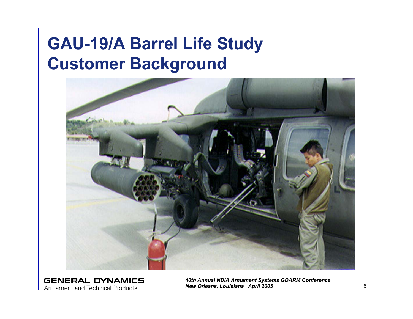#### **GAU-19/A Barrel Life Study Customer Background**



**GENERAL DYNAMICS Armament and Technical Products**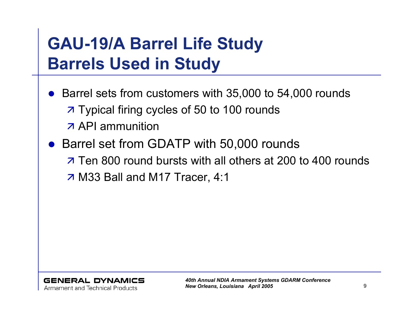### **GAU-19/A Barrel Life Study Barrels Used in Study**

- $\bullet$  Barrel sets from customers with 35,000 to 54,000 rounds **7 Typical firing cycles of 50 to 100 rounds API** ammunition
- Barrel set from GDATP with 50,000 rounds  $\overline{z}$  Ten 800 round bursts with all others at 200 to 400 rounds z M33 Ball and M17 Tracer, 4:1

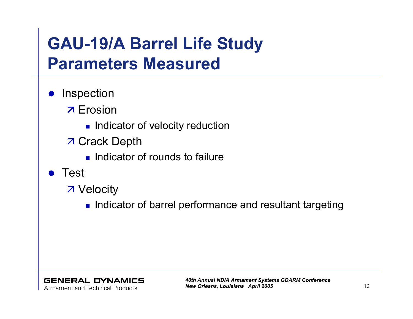#### **GAU-19/A Barrel Life Study Parameters Measured**

- $\bullet$ **Inspection** 
	- **7** Erosion
		- **Indicator of velocity reduction**
	- **7 Crack Depth** 
		- **Indicator of rounds to failure**
- $\bullet$  Test
	- **7** Velocity
		- $\blacksquare$  Indicator of barrel performance and resultant targeting

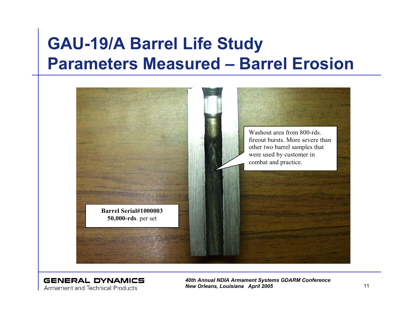#### **GAU-19/A Barrel Life Study Parameters Measured – Barrel Erosion**



**GENERAL DYNAMICS** Armament and Technical Products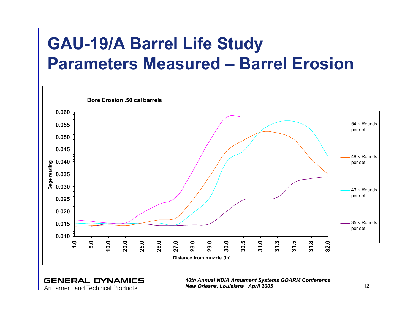#### **GAU-19/A Barrel Life Study Parameters Measured – Barrel Erosion**



**GENERAL DYNAMICS Armament and Technical Products**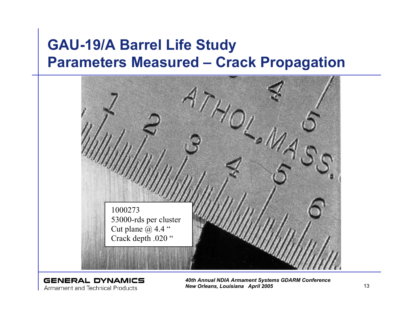#### **GAU-19/A Barrel Life Study Parameters Measured – Crack Propagation**



**GENERAL DYNAMICS Armament and Technical Products**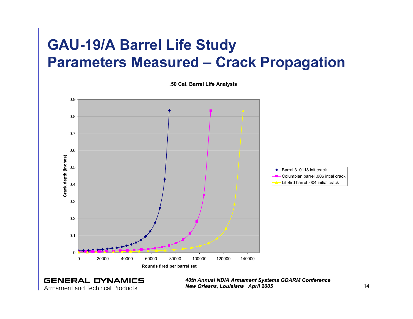#### **GAU-19/A Barrel Life Study Parameters Measured – Crack Propagation**



**Armament and Technical Products**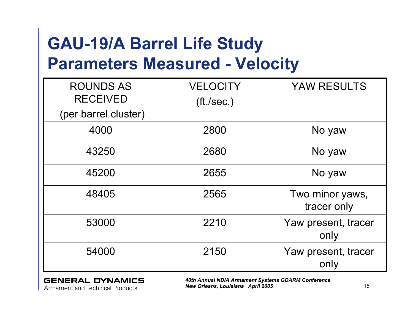#### **GAU-19/A Barrel Life Study Parameters Measured - Velocity**

| <b>ROUNDS AS</b><br><b>RECEIVED</b> | <b>VELOCITY</b> | <b>YAW RESULTS</b>             |
|-------------------------------------|-----------------|--------------------------------|
| (per barrel cluster)                | (ft./sec.)      |                                |
| 4000                                | 2800            | No yaw                         |
| 43250                               | 2680            | No yaw                         |
| 45200                               | 2655            | No yaw                         |
| 48405                               | 2565            | Two minor yaws,<br>tracer only |
| 53000                               | 2210            | Yaw present, tracer<br>only    |
| 54000                               | 2150            | Yaw present, tracer<br>only    |

#### **GENERAL DYNAMICS**

**Armament and Technical Products**